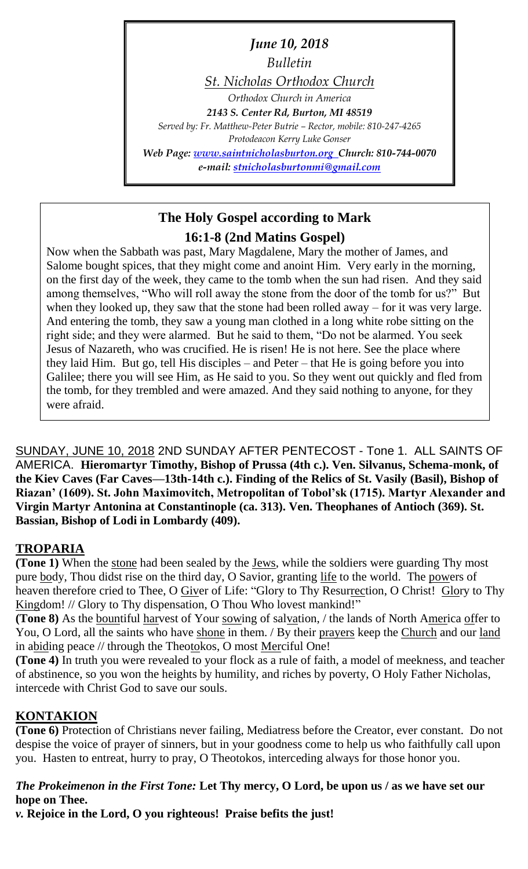*June 10, 2018 Bulletin St. Nicholas Orthodox Church Orthodox Church in America 2143 S. Center Rd, Burton, MI 48519 Served by: Fr. Matthew-Peter Butrie – Rector, mobile: 810-247-4265 Protodeacon Kerry Luke Gonser Web Page: [www.saintnicholasburton.org](http://www.saintnicholasburton.org/) Church: 810-744-0070 e-mail: [stnicholasburtonmi@gmail.com](mailto:stnicholasburtonmi@gmail.com)*

# **The Holy Gospel according to Mark 16:1-8 (2nd Matins Gospel)**

Now when the Sabbath was past, Mary Magdalene, Mary the mother of James, and Salome bought spices, that they might come and anoint Him. Very early in the morning, on the first day of the week, they came to the tomb when the sun had risen. And they said among themselves, "Who will roll away the stone from the door of the tomb for us?" But when they looked up, they saw that the stone had been rolled away – for it was very large. And entering the tomb, they saw a young man clothed in a long white robe sitting on the right side; and they were alarmed. But he said to them, "Do not be alarmed. You seek Jesus of Nazareth, who was crucified. He is risen! He is not here. See the place where they laid Him. But go, tell His disciples – and Peter – that He is going before you into Galilee; there you will see Him, as He said to you. So they went out quickly and fled from the tomb, for they trembled and were amazed. And they said nothing to anyone, for they were afraid.

SUNDAY, JUNE 10, 2018 2ND SUNDAY AFTER PENTECOST - Tone 1. ALL SAINTS OF AMERICA. **Hieromartyr Timothy, Bishop of Prussa (4th c.). Ven. Silvanus, Schema-monk, of the Kiev Caves (Far Caves—13th-14th c.). Finding of the Relics of St. Vasily (Basil), Bishop of Riazan' (1609). St. John Maximovitch, Metropolitan of Tobol'sk (1715). Martyr Alexander and Virgin Martyr Antonina at Constantinople (ca. 313). Ven. Theophanes of Antioch (369). St. Bassian, Bishop of Lodi in Lombardy (409).**

## **TROPARIA**

**(Tone 1)** When the stone had been sealed by the Jews, while the soldiers were guarding Thy most pure body, Thou didst rise on the third day, O Savior, granting life to the world. The powers of heaven therefore cried to Thee, O Giver of Life: "Glory to Thy Resurrection, O Christ! Glory to Thy Kingdom! // Glory to Thy dispensation, O Thou Who lovest mankind!"

**(Tone 8)** As the bountiful harvest of Your sowing of salvation, / the lands of North America offer to You, O Lord, all the saints who have shone in them. / By their prayers keep the Church and our land in abiding peace // through the Theotokos, O most Merciful One!

**(Tone 4)** In truth you were revealed to your flock as a rule of faith, a model of meekness, and teacher of abstinence, so you won the heights by humility, and riches by poverty, O Holy Father Nicholas, intercede with Christ God to save our souls.

## **KONTAKION**

**(Tone 6)** Protection of Christians never failing, Mediatress before the Creator, ever constant. Do not despise the voice of prayer of sinners, but in your goodness come to help us who faithfully call upon you. Hasten to entreat, hurry to pray, O Theotokos, interceding always for those honor you.

## *The Prokeimenon in the First Tone:* **Let Thy mercy, O Lord, be upon us / as we have set our hope on Thee.**

*v.* **Rejoice in the Lord, O you righteous! Praise befits the just!**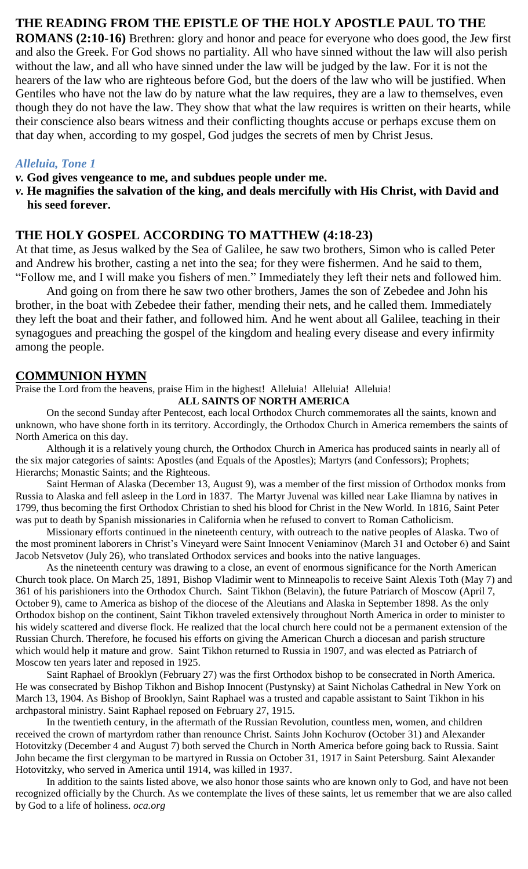### **THE READING FROM THE EPISTLE OF THE HOLY APOSTLE PAUL TO THE**

**ROMANS (2:10-16)** Brethren: glory and honor and peace for everyone who does good, the Jew first and also the Greek. For God shows no partiality. All who have sinned without the law will also perish without the law, and all who have sinned under the law will be judged by the law. For it is not the hearers of the law who are righteous before God, but the doers of the law who will be justified. When Gentiles who have not the law do by nature what the law requires, they are a law to themselves, even though they do not have the law. They show that what the law requires is written on their hearts, while their conscience also bears witness and their conflicting thoughts accuse or perhaps excuse them on that day when, according to my gospel, God judges the secrets of men by Christ Jesus.

#### *Alleluia, Tone 1*

- *v.* **God gives vengeance to me, and subdues people under me.**
- *v.* **He magnifies the salvation of the king, and deals mercifully with His Christ, with David and his seed forever.**

#### **THE HOLY GOSPEL ACCORDING TO MATTHEW (4:18-23)**

At that time, as Jesus walked by the Sea of Galilee, he saw two brothers, Simon who is called Peter and Andrew his brother, casting a net into the sea; for they were fishermen. And he said to them, "Follow me, and I will make you fishers of men." Immediately they left their nets and followed him.

And going on from there he saw two other brothers, James the son of Zebedee and John his brother, in the boat with Zebedee their father, mending their nets, and he called them. Immediately they left the boat and their father, and followed him. And he went about all Galilee, teaching in their synagogues and preaching the gospel of the kingdom and healing every disease and every infirmity among the people.

#### **COMMUNION HYMN**

Praise the Lord from the heavens, praise Him in the highest! Alleluia! Alleluia! Alleluia! **ALL SAINTS OF NORTH AMERICA**

On the second Sunday after Pentecost, each local Orthodox Church commemorates all the saints, known and unknown, who have shone forth in its territory. Accordingly, the Orthodox Church in America remembers the saints of

North America on this day. Although it is a relatively young church, the Orthodox Church in America has produced saints in nearly all of the six major categories of saints: Apostles (and Equals of the Apostles); Martyrs (and Confessors); Prophets; Hierarchs; Monastic Saints; and the Righteous.

Saint Herman of Alaska (December 13, August 9), was a member of the first mission of Orthodox monks from Russia to Alaska and fell asleep in the Lord in 1837. The Martyr Juvenal was killed near Lake Iliamna by natives in 1799, thus becoming the first Orthodox Christian to shed his blood for Christ in the New World. In 1816, Saint Peter was put to death by Spanish missionaries in California when he refused to convert to Roman Catholicism.

Missionary efforts continued in the nineteenth century, with outreach to the native peoples of Alaska. Two of the most prominent laborers in Christ's Vineyard were Saint Innocent Veniaminov (March 31 and October 6) and Saint Jacob Netsvetov (July 26), who translated Orthodox services and books into the native languages.

As the nineteenth century was drawing to a close, an event of enormous significance for the North American Church took place. On March 25, 1891, Bishop Vladimir went to Minneapolis to receive Saint Alexis Toth (May 7) and 361 of his parishioners into the Orthodox Church. Saint Tikhon (Belavin), the future Patriarch of Moscow (April 7, October 9), came to America as bishop of the diocese of the Aleutians and Alaska in September 1898. As the only Orthodox bishop on the continent, Saint Tikhon traveled extensively throughout North America in order to minister to his widely scattered and diverse flock. He realized that the local church here could not be a permanent extension of the Russian Church. Therefore, he focused his efforts on giving the American Church a diocesan and parish structure which would help it mature and grow. Saint Tikhon returned to Russia in 1907, and was elected as Patriarch of Moscow ten years later and reposed in 1925.

Saint Raphael of Brooklyn (February 27) was the first Orthodox bishop to be consecrated in North America. He was consecrated by Bishop Tikhon and Bishop Innocent (Pustynsky) at Saint Nicholas Cathedral in New York on March 13, 1904. As Bishop of Brooklyn, Saint Raphael was a trusted and capable assistant to Saint Tikhon in his archpastoral ministry. Saint Raphael reposed on February 27, 1915.

In the twentieth century, in the aftermath of the Russian Revolution, countless men, women, and children received the crown of martyrdom rather than renounce Christ. Saints John Kochurov (October 31) and Alexander Hotovitzky (December 4 and August 7) both served the Church in North America before going back to Russia. Saint John became the first clergyman to be martyred in Russia on October 31, 1917 in Saint Petersburg. Saint Alexander Hotovitzky, who served in America until 1914, was killed in 1937.

In addition to the saints listed above, we also honor those saints who are known only to God, and have not been recognized officially by the Church. As we contemplate the lives of these saints, let us remember that we are also called by God to a life of holiness. *oca.org*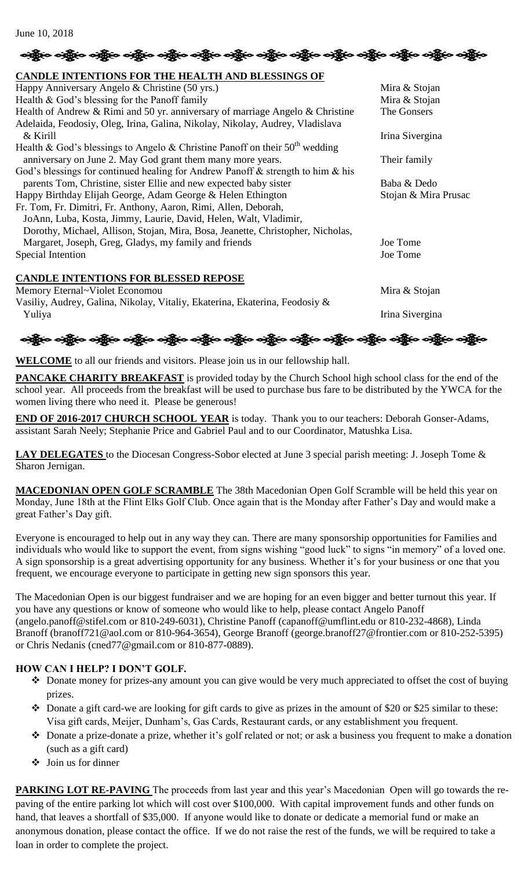# <u>ခရိုး</u>စ ခရို့စ ခရို့စ ခရို့စ ခရို့စ ခရို့စ ခရို့စ ခရို့စ ခရို့စ ခရို့စ ခရို့စ ခရို့စ ခရို့စ

#### **CANDLE INTENTIONS FOR THE HEALTH AND BLESSINGS OF**

| Christian in the transportance of the membership beloved to be                      |                      |
|-------------------------------------------------------------------------------------|----------------------|
| Happy Anniversary Angelo & Christine (50 yrs.)                                      | Mira & Stojan        |
| Health & God's blessing for the Panoff family                                       | Mira & Stojan        |
| Health of Andrew $\&$ Rimi and 50 yr. anniversary of marriage Angelo $\&$ Christine | The Gonsers          |
| Adelaida, Feodosiy, Oleg, Irina, Galina, Nikolay, Nikolay, Audrey, Vladislava       |                      |
| $&$ Kirill                                                                          | Irina Sivergina      |
| Health & God's blessings to Angelo & Christine Panoff on their $50th$ wedding       |                      |
| anniversary on June 2. May God grant them many more years.                          | Their family         |
| God's blessings for continued healing for Andrew Panoff & strength to him & his     |                      |
| parents Tom, Christine, sister Ellie and new expected baby sister                   | Baba & Dedo          |
| Happy Birthday Elijah George, Adam George & Helen Ethington                         | Stojan & Mira Prusac |
| Fr. Tom, Fr. Dimitri, Fr. Anthony, Aaron, Rimi, Allen, Deborah,                     |                      |
| JoAnn, Luba, Kosta, Jimmy, Laurie, David, Helen, Walt, Vladimir,                    |                      |
| Dorothy, Michael, Allison, Stojan, Mira, Bosa, Jeanette, Christopher, Nicholas,     |                      |
| Margaret, Joseph, Greg, Gladys, my family and friends                               | Joe Tome             |
| Special Intention                                                                   | Joe Tome             |
|                                                                                     |                      |
| <b>CANDLE INTENTIONS FOR BLESSED REPOSE</b>                                         |                      |
| Memory Eternal~Violet Economou                                                      | Mira & Stojan        |
| Vasiliy, Audrey, Galina, Nikolay, Vitaliy, Ekaterina, Ekaterina, Feodosiy &         |                      |
| Yuliya                                                                              | Irina Sivergina      |

ဆိုပြီးဝ သန္တြိ**လ သန္တြိုေ သန္တိုင္း သန္တိုင္း သန္တိုင္း သ**န္တိုင္း သန္တြိုင္း သန္တြိုင္း သန္တိုင္း သန္တိုင္း

**WELCOME** to all our friends and visitors. Please join us in our fellowship hall.

**PANCAKE CHARITY BREAKFAST** is provided today by the Church School high school class for the end of the school year. All proceeds from the breakfast will be used to purchase bus fare to be distributed by the YWCA for the women living there who need it. Please be generous!

**END OF 2016-2017 CHURCH SCHOOL YEAR** is today. Thank you to our teachers: Deborah Gonser-Adams, assistant Sarah Neely; Stephanie Price and Gabriel Paul and to our Coordinator, Matushka Lisa.

**LAY DELEGATES** to the Diocesan Congress-Sobor elected at June 3 special parish meeting: J. Joseph Tome & Sharon Jernigan.

**MACEDONIAN OPEN GOLF SCRAMBLE** The 38th Macedonian Open Golf Scramble will be held this year on Monday, June 18th at the Flint Elks Golf Club. Once again that is the Monday after Father's Day and would make a great Father's Day gift.

Everyone is encouraged to help out in any way they can. There are many sponsorship opportunities for Families and individuals who would like to support the event, from signs wishing "good luck" to signs "in memory" of a loved one. A sign sponsorship is a great advertising opportunity for any business. Whether it's for your business or one that you frequent, we encourage everyone to participate in getting new sign sponsors this year.

The Macedonian Open is our biggest fundraiser and we are hoping for an even bigger and better turnout this year. If you have any questions or know of someone who would like to help, please contact Angelo Panoff (angelo.panoff@stifel.com or 810-249-6031), Christine Panoff (capanoff@umflint.edu or 810-232-4868), Linda Branoff (branoff721@aol.com or 810-964-3654), George Branoff (george.branoff27@frontier.com or 810-252-5395) or Chris Nedanis (cned77@gmail.com or 810-877-0889).

#### **HOW CAN I HELP? I DON'T GOLF.**

- Donate money for prizes-any amount you can give would be very much appreciated to offset the cost of buying prizes.
- Donate a gift card-we are looking for gift cards to give as prizes in the amount of \$20 or \$25 similar to these: Visa gift cards, Meijer, Dunham's, Gas Cards, Restaurant cards, or any establishment you frequent.
- Donate a prize-donate a prize, whether it's golf related or not; or ask a business you frequent to make a donation (such as a gift card)
- Join us for dinner

**PARKING LOT RE-PAVING** The proceeds from last year and this year's Macedonian Open will go towards the repaving of the entire parking lot which will cost over \$100,000. With capital improvement funds and other funds on hand, that leaves a shortfall of \$35,000. If anyone would like to donate or dedicate a memorial fund or make an anonymous donation, please contact the office. If we do not raise the rest of the funds, we will be required to take a loan in order to complete the project.